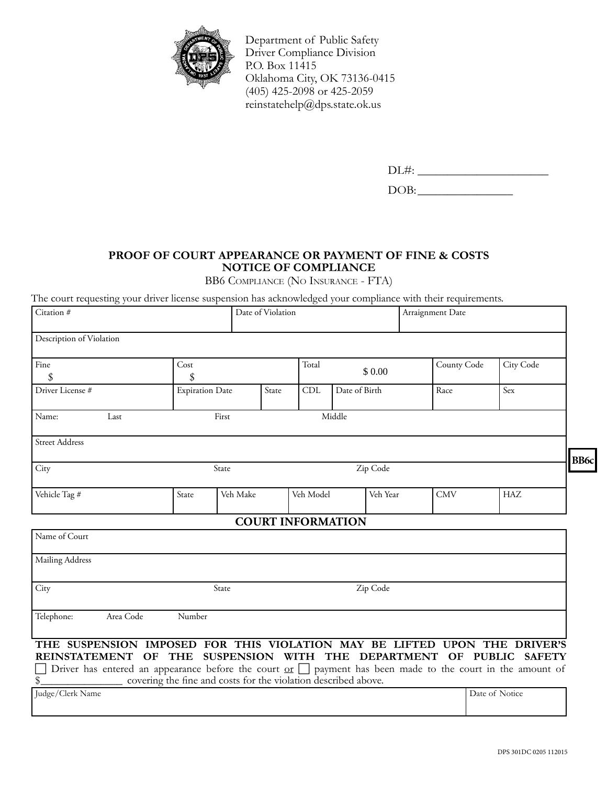

Department of Public Safety Driver Compliance Division P.O. Box 11415 Oklahoma City, OK 73136-0415 (405) 425-2098 or 425-2059 reinstatehelp@dps.state.ok.us

| <b>⊥</b> |
|----------|
| . שנ     |

## **Proof of Court Appearance or Payment of fine & Costs Notice of Compliance**

BB6 Compliance (No Insurance - FTA)

The court requesting your driver license suspension has acknowledged your compliance with their requirements.

| Citation #                                                                                                                                                                                                                                                                                | Date of Violation                                              |                          |                 | Arraignment Date |             |            |                |
|-------------------------------------------------------------------------------------------------------------------------------------------------------------------------------------------------------------------------------------------------------------------------------------------|----------------------------------------------------------------|--------------------------|-----------------|------------------|-------------|------------|----------------|
| Description of Violation                                                                                                                                                                                                                                                                  |                                                                |                          |                 |                  |             |            |                |
| Fine<br>\$                                                                                                                                                                                                                                                                                | Cost<br>\$                                                     |                          | Total<br>\$0.00 |                  | County Code | City Code  |                |
| Driver License #                                                                                                                                                                                                                                                                          | <b>Expiration Date</b>                                         | State                    | CDL             | Date of Birth    |             | Race       | Sex            |
| Name:<br>Last                                                                                                                                                                                                                                                                             | Middle<br>First                                                |                          |                 |                  |             |            |                |
| <b>Street Address</b>                                                                                                                                                                                                                                                                     |                                                                |                          |                 |                  |             |            |                |
| City                                                                                                                                                                                                                                                                                      | State                                                          |                          |                 | Zip Code         |             |            | BB6c           |
| Vehicle Tag #                                                                                                                                                                                                                                                                             | State<br>Veh Make                                              |                          | Veh Model       |                  | Veh Year    | <b>CMV</b> | HAZ            |
|                                                                                                                                                                                                                                                                                           |                                                                | <b>COURT INFORMATION</b> |                 |                  |             |            |                |
| Name of Court                                                                                                                                                                                                                                                                             |                                                                |                          |                 |                  |             |            |                |
| Mailing Address                                                                                                                                                                                                                                                                           |                                                                |                          |                 |                  |             |            |                |
| City                                                                                                                                                                                                                                                                                      | State                                                          |                          |                 | Zip Code         |             |            |                |
| Telephone:<br>Area Code                                                                                                                                                                                                                                                                   | Number                                                         |                          |                 |                  |             |            |                |
| THE SUSPENSION IMPOSED FOR THIS VIOLATION MAY BE LIFTED UPON THE DRIVER'S<br>REINSTATEMENT OF THE SUSPENSION WITH THE DEPARTMENT OF PUBLIC SAFETY<br>Driver has entered an appearance before the court $\underline{\text{or}}$ $\Box$ payment has been made to the court in the amount of | covering the fine and costs for the violation described above. |                          |                 |                  |             |            |                |
| Judge/Clerk Name                                                                                                                                                                                                                                                                          |                                                                |                          |                 |                  |             |            | Date of Notice |